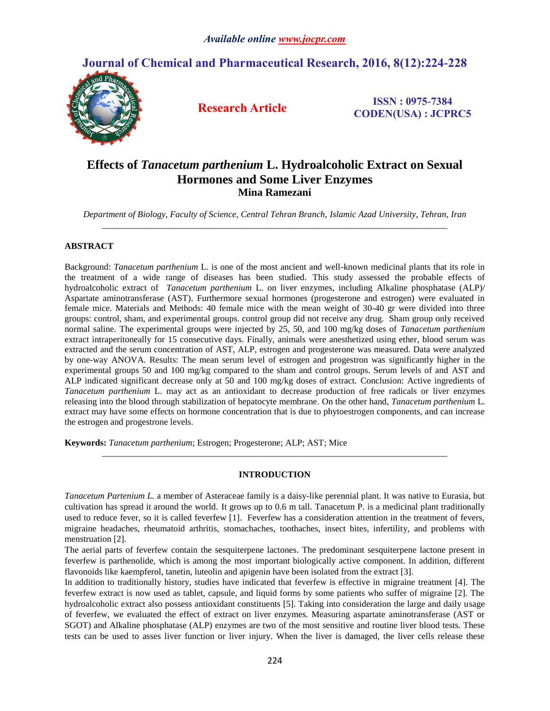# **Journal of Chemical and Pharmaceutical Research, 2016, 8(12):224-228**



**Research Article ISSN : 0975-7384 CODEN(USA) : JCPRC5**

# **Effects of** *Tanacetum parthenium* **L. Hydroalcoholic Extract on Sexual Hormones and Some Liver Enzymes Mina Ramezani**

*Department of Biology, Faculty of Science, Central Tehran Branch, Islamic Azad University, Tehran, Iran \_\_\_\_\_\_\_\_\_\_\_\_\_\_\_\_\_\_\_\_\_\_\_\_\_\_\_\_\_\_\_\_\_\_\_\_\_\_\_\_\_\_\_\_\_\_\_\_\_\_\_\_\_\_\_\_\_\_\_\_\_\_\_\_\_\_\_\_\_\_\_\_\_\_\_\_\_*

# **ABSTRACT**

Background: *Tanacetum parthenium* L. is one of the most ancient and well-known medicinal plants that its role in the treatment of a wide range of diseases has been studied. This study assessed the probable effects of hydroalcoholic extract of *Tanacetum parthenium* L. on liver enzymes, including Alkaline phosphatase (ALP)/ Aspartate aminotransferase (AST). Furthermore sexual hormones (progesterone and estrogen) were evaluated in female mice. Materials and Methods: 40 female mice with the mean weight of 30-40 gr were divided into three groups: control, sham, and experimental groups. control group did not receive any drug. Sham group only received normal saline. The experimental groups were injected by 25, 50, and 100 mg/kg doses of *Tanacetum parthenium* extract intraperitoneally for 15 consecutive days. Finally, animals were anesthetized using ether, blood serum was extracted and the serum concentration of AST, ALP, estrogen and progesterone was measured. Data were analyzed by one-way ANOVA. Results: The mean serum level of estrogen and progestron was significantly higher in the experimental groups 50 and 100 mg/kg compared to the sham and control groups. Serum levels of and AST and ALP indicated significant decrease only at 50 and 100 mg/kg doses of extract. Conclusion: Active ingredients of *Tanacetum parthenium* L. may act as an antioxidant to decrease production of free radicals or liver enzymes releasing into the blood through stabilization of hepatocyte membrane. On the other hand, *Tanacetum parthenium* L. extract may have some effects on hormone concentration that is due to phytoestrogen components, and can increase the estrogen and progestrone levels.

**Keywords:** *Tanacetum parthenium*; Estrogen; Progesterone; ALP; AST; Mice

## **INTRODUCTION**

*\_\_\_\_\_\_\_\_\_\_\_\_\_\_\_\_\_\_\_\_\_\_\_\_\_\_\_\_\_\_\_\_\_\_\_\_\_\_\_\_\_\_\_\_\_\_\_\_\_\_\_\_\_\_\_\_\_\_\_\_\_\_\_\_\_\_\_\_\_\_\_\_\_\_\_\_\_*

*Tanacetum Partenium L.* a member of Asteraceae family is a daisy-like perennial plant. It was native to Eurasia, but cultivation has spread it around the world. It grows up to 0.6 m tall. Tanacetum P. is a medicinal plant traditionally used to reduce fever, so it is called feverfew [1]. Feverfew has a consideration attention in the treatment of fevers, migraine headaches, rheumatoid arthritis, stomachaches, toothaches, insect bites, infertility, and problems with menstruation [2].

The aerial parts of feverfew contain the sesquiterpene lactones. The predominant sesquiterpene lactone present in feverfew is parthenolide, which is among the most important biologically active component. In addition, different flavonoids like kaempferol, tanetin, luteolin and apigenin have been isolated from the extract [3].

In addition to traditionally history, studies have indicated that feverfew is effective in migraine treatment [4]. The feverfew extract is now used as tablet, capsule, and liquid forms by some patients who suffer of migraine [2]. The hydroalcoholic extract also possess antioxidant constituents [5]. Taking into consideration the large and daily usage of feverfew, we evaluated the effect of extract on liver enzymes. Measuring aspartate aminotransferase (AST or SGOT) and Alkaline phosphatase (ALP) enzymes are two of the most sensitive and routine liver blood tests. These tests can be used to asses liver function or liver injury. When the liver is damaged, the liver cells release these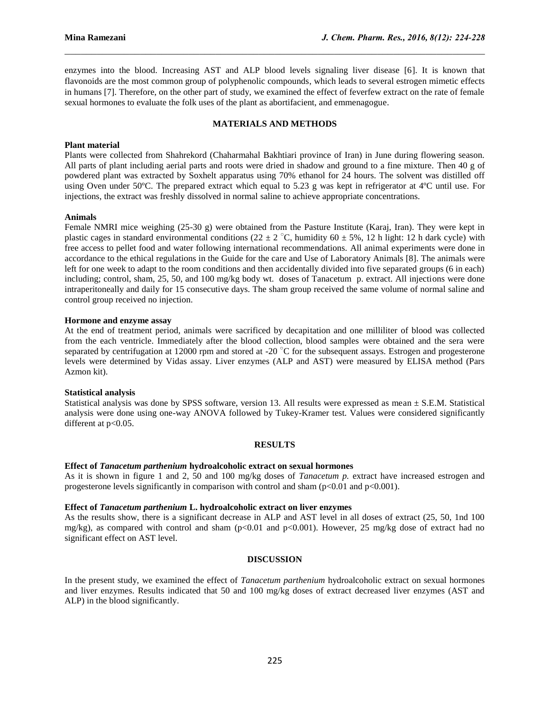enzymes into the blood. Increasing AST and ALP blood levels signaling liver disease [6]. It is known that flavonoids are the most common group of polyphenolic compounds, which leads to several estrogen mimetic effects in humans [7]. Therefore, on the other part of study, we examined the effect of feverfew extract on the rate of female sexual hormones to evaluate the folk uses of the plant as abortifacient, and emmenagogue.

 $\mathcal{L}_\mathcal{L} = \{ \mathcal{L}_\mathcal{L} = \{ \mathcal{L}_\mathcal{L} = \{ \mathcal{L}_\mathcal{L} = \{ \mathcal{L}_\mathcal{L} = \{ \mathcal{L}_\mathcal{L} = \{ \mathcal{L}_\mathcal{L} = \{ \mathcal{L}_\mathcal{L} = \{ \mathcal{L}_\mathcal{L} = \{ \mathcal{L}_\mathcal{L} = \{ \mathcal{L}_\mathcal{L} = \{ \mathcal{L}_\mathcal{L} = \{ \mathcal{L}_\mathcal{L} = \{ \mathcal{L}_\mathcal{L} = \{ \mathcal{L}_\mathcal{$ 

## **MATERIALS AND METHODS**

### **Plant material**

Plants were collected from Shahrekord (Chaharmahal Bakhtiari province of Iran) in June during flowering season. All parts of plant including aerial parts and roots were dried in shadow and ground to a fine mixture. Then 40 g of powdered plant was extracted by Soxhelt apparatus using 70% ethanol for 24 hours. The solvent was distilled off using Oven under 50ºC. The prepared extract which equal to 5.23 g was kept in refrigerator at 4ºC until use. For injections, the extract was freshly dissolved in normal saline to achieve appropriate concentrations.

### **Animals**

Female NMRI mice weighing (25-30 g) were obtained from the Pasture Institute (Karaj, Iran). They were kept in plastic cages in standard environmental conditions (22 ± 2  $^{\circ}$ C, humidity 60 ± 5%, 12 h light: 12 h dark cycle) with free access to pellet food and water following international recommendations. All animal experiments were done in accordance to the ethical regulations in the Guide for the care and Use of Laboratory Animals [8]. The animals were left for one week to adapt to the room conditions and then accidentally divided into five separated groups (6 in each) including; control, sham, 25, 50, and 100 mg/kg body wt. doses of Tanacetum p. extract. All injections were done intraperitoneally and daily for 15 consecutive days. The sham group received the same volume of normal saline and control group received no injection.

## **Hormone and enzyme assay**

At the end of treatment period, animals were sacrificed by decapitation and one milliliter of blood was collected from the each ventricle. Immediately after the blood collection, blood samples were obtained and the sera were separated by centrifugation at 12000 rpm and stored at -20 °C for the subsequent assays. Estrogen and progesterone levels were determined by Vidas assay. Liver enzymes (ALP and AST) were measured by ELISA method (Pars Azmon kit).

## **Statistical analysis**

Statistical analysis was done by SPSS software, version 13. All results were expressed as mean  $\pm$  S.E.M. Statistical analysis were done using one-way ANOVA followed by Tukey-Kramer test. Values were considered significantly different at  $p<0.05$ .

## **RESULTS**

## **Effect of** *Tanacetum parthenium* **hydroalcoholic extract on sexual hormones**

As it is shown in figure 1 and 2, 50 and 100 mg/kg doses of *Tanacetum p.* extract have increased estrogen and progesterone levels significantly in comparison with control and sham ( $p<0.01$  and  $p<0.001$ ).

#### **Effect of** *Tanacetum parthenium* **L. hydroalcoholic extract on liver enzymes**

As the results show, there is a significant decrease in ALP and AST level in all doses of extract (25, 50, 1nd 100 mg/kg), as compared with control and sham ( $p<0.01$  and  $p<0.001$ ). However, 25 mg/kg dose of extract had no significant effect on AST level.

#### **DISCUSSION**

In the present study, we examined the effect of *Tanacetum parthenium* hydroalcoholic extract on sexual hormones and liver enzymes. Results indicated that 50 and 100 mg/kg doses of extract decreased liver enzymes (AST and ALP) in the blood significantly.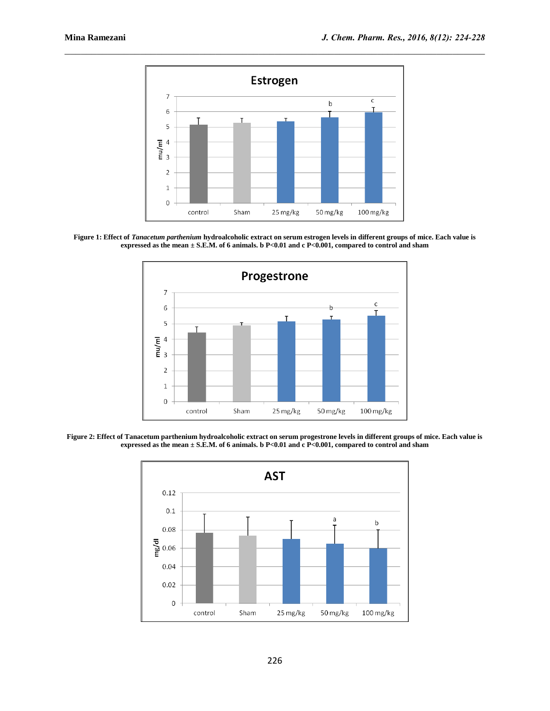

**Figure 1: Effect of** *Tanacetum parthenium* **hydroalcoholic extract on serum estrogen levels in different groups of mice. Each value is expressed as the mean ± S.E.M. of 6 animals. b P<0.01 and c P<0.001, compared to control and sham**



**Figure 2: Effect of Tanacetum parthenium hydroalcoholic extract on serum progestrone levels in different groups of mice. Each value is expressed as the mean ± S.E.M. of 6 animals. b P<0.01 and c P<0.001, compared to control and sham**

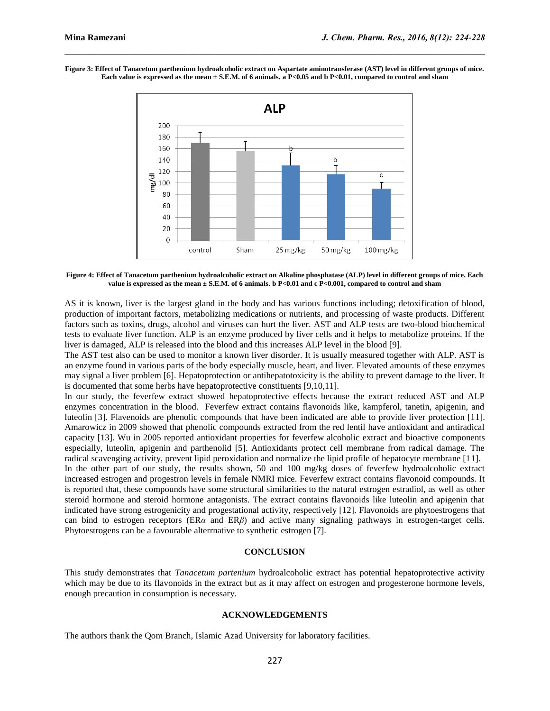**Figure 3: Effect of Tanacetum parthenium hydroalcoholic extract on Aspartate aminotransferase (AST) level in different groups of mice. Each value is expressed as the mean ± S.E.M. of 6 animals. a P<0.05 and b P<0.01, compared to control and sham**

 $\mathcal{L}_\mathcal{L} = \{ \mathcal{L}_\mathcal{L} = \{ \mathcal{L}_\mathcal{L} = \{ \mathcal{L}_\mathcal{L} = \{ \mathcal{L}_\mathcal{L} = \{ \mathcal{L}_\mathcal{L} = \{ \mathcal{L}_\mathcal{L} = \{ \mathcal{L}_\mathcal{L} = \{ \mathcal{L}_\mathcal{L} = \{ \mathcal{L}_\mathcal{L} = \{ \mathcal{L}_\mathcal{L} = \{ \mathcal{L}_\mathcal{L} = \{ \mathcal{L}_\mathcal{L} = \{ \mathcal{L}_\mathcal{L} = \{ \mathcal{L}_\mathcal{$ 



**Figure 4: Effect of Tanacetum parthenium hydroalcoholic extract on Alkaline phosphatase (ALP) level in different groups of mice. Each value is expressed as the mean ± S.E.M. of 6 animals. b P<0.01 and c P<0.001, compared to control and sham**

AS it is known, liver is the largest gland in the body and has various functions including; detoxification of blood, production of important factors, metabolizing medications or nutrients, and processing of waste products. Different factors such as toxins, drugs, alcohol and viruses can hurt the liver. AST and ALP tests are two-blood biochemical tests to evaluate liver function. ALP is an enzyme produced by liver cells and it helps to metabolize proteins. If the liver is damaged, ALP is released into the blood and this increases ALP level in the blood [9].

The AST test also can be used to monitor a known liver disorder. It is usually measured together with ALP. AST is an enzyme found in various parts of the body especially muscle, heart, and liver. Elevated amounts of these enzymes may signal a liver problem [6]. Hepatoprotection or antihepatotoxicity is the ability to prevent damage to the liver. It is documented that some herbs have hepatoprotective constituents [9,10,11].

In our study, the feverfew extract showed hepatoprotective effects because the extract reduced AST and ALP enzymes concentration in the blood. Feverfew extract contains flavonoids like, kampferol, tanetin, apigenin, and luteolin [3]. Flavenoids are phenolic compounds that have been indicated are able to provide liver protection [11]. Amarowicz in 2009 showed that phenolic compounds extracted from the red lentil have antioxidant and antiradical capacity [13]. Wu in 2005 reported antioxidant properties for feverfew alcoholic extract and bioactive components especially, luteolin, apigenin and parthenolid [5]. Antioxidants protect cell membrane from radical damage. The radical scavenging activity, prevent lipid peroxidation and normalize the lipid profile of hepatocyte membrane [11].

In the other part of our study, the results shown, 50 and 100 mg/kg doses of feverfew hydroalcoholic extract increased estrogen and progestron levels in female NMRI mice. Feverfew extract contains flavonoid compounds. It is reported that, these compounds have some structural similarities to the natural estrogen estradiol, as well as other steroid hormone and steroid hormone antagonists. The extract contains flavonoids like luteolin and apigenin that indicated have strong estrogenicity and progestational activity, respectively [12]. Flavonoids are phytoestrogens that can bind to estrogen receptors (ER*α* and ER*β*) and active many signaling pathways in estrogen-target cells. Phytoestrogens can be a favourable alterrnative to synthetic estrogen [7].

### **CONCLUSION**

This study demonstrates that *Tanacetum partenium* hydroalcoholic extract has potential hepatoprotective activity which may be due to its flavonoids in the extract but as it may affect on estrogen and progesterone hormone levels, enough precaution in consumption is necessary.

#### **ACKNOWLEDGEMENTS**

The authors thank the Qom Branch, Islamic Azad University for laboratory facilities.